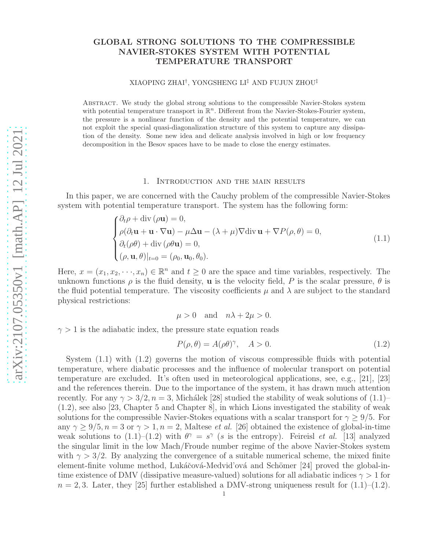# GLOBAL STRONG SOLUTIONS TO THE COMPRESSIBLE NAVIER-STOKES SYSTEM WITH POTENTIAL TEMPERATURE TRANSPORT

### XIAOPING ZHAI† , YONGSHENG LI‡ AND FUJUN ZHOU‡

Abstract. We study the global strong solutions to the compressible Navier-Stokes system with potential temperature transport in  $\mathbb{R}^n$ . Different from the Navier-Stokes-Fourier system, the pressure is a nonlinear function of the density and the potential temperature, we can not exploit the special quasi-diagonalization structure of this system to capture any dissipation of the density. Some new idea and delicate analysis involved in high or low frequency decomposition in the Besov spaces have to be made to close the energy estimates.

#### 1. Introduction and the main results

In this paper, we are concerned with the Cauchy problem of the compressible Navier-Stokes system with potential temperature transport. The system has the following form:

$$
\begin{cases} \partial_t \rho + \text{div}(\rho \mathbf{u}) = 0, \\ \rho(\partial_t \mathbf{u} + \mathbf{u} \cdot \nabla \mathbf{u}) - \mu \Delta \mathbf{u} - (\lambda + \mu) \nabla \text{div} \mathbf{u} + \nabla P(\rho, \theta) = 0, \\ \partial_t (\rho \theta) + \text{div}(\rho \theta \mathbf{u}) = 0, \\ (\rho, \mathbf{u}, \theta)|_{t=0} = (\rho_0, \mathbf{u}_0, \theta_0). \end{cases}
$$
(1.1)

Here,  $x = (x_1, x_2, \dots, x_n) \in \mathbb{R}^n$  and  $t \geq 0$  are the space and time variables, respectively. The unknown functions  $\rho$  is the fluid density, **u** is the velocity field, P is the scalar pressure,  $\theta$  is the fluid potential temperature. The viscosity coefficients  $\mu$  and  $\lambda$  are subject to the standard physical restrictions:

$$
\mu > 0 \quad \text{and} \quad n\lambda + 2\mu > 0.
$$

 $\gamma > 1$  is the adiabatic index, the pressure state equation reads

$$
P(\rho, \theta) = A(\rho \theta)^{\gamma}, \quad A > 0.
$$
\n(1.2)

System (1.1) with (1.2) governs the motion of viscous compressible fluids with potential temperature, where diabatic processes and the influence of molecular transport on potential temperature are excluded. It's often used in meteorological applications, see, e.g., [21], [23] and the references therein. Due to the importance of the system, it has drawn much attention recently. For any  $\gamma > 3/2$ ,  $n = 3$ , Michálek [28] studied the stability of weak solutions of (1.1)– (1.2), see also [23, Chapter 5 and Chapter 8], in which Lions investigated the stability of weak solutions for the compressible Navier-Stokes equations with a scalar transport for  $\gamma \geq 9/5$ . For any  $\gamma \geq 9/5$ ,  $n = 3$  or  $\gamma > 1$ ,  $n = 2$ , Maltese *et al.* [26] obtained the existence of global-in-time weak solutions to  $(1.1)$ – $(1.2)$  with  $\theta^{\gamma} = s^{\gamma}$  (s is the entropy). Feireisl *et al.* [13] analyzed the singular limit in the low Mach/Froude number regime of the above Navier-Stokes system with  $\gamma > 3/2$ . By analyzing the convergence of a suitable numerical scheme, the mixed finite element-finite volume method, Lukáčová-Medvid'ová and Schömer [24] proved the global-intime existence of DMV (dissipative measure-valued) solutions for all adiabatic indices  $\gamma > 1$  for  $n = 2, 3$ . Later, they [25] further established a DMV-strong uniqueness result for  $(1.1)$ – $(1.2)$ .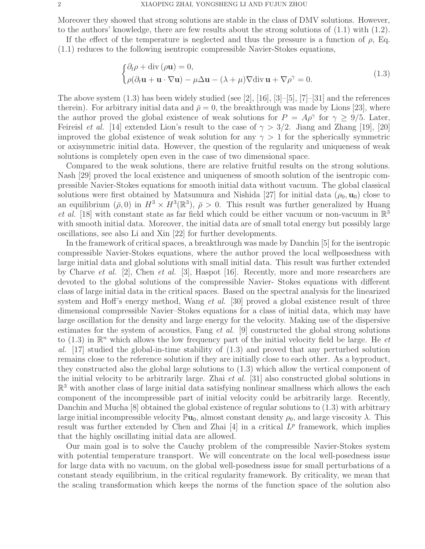Moreover they showed that strong solutions are stable in the class of DMV solutions. However, to the authors' knowledge, there are few results about the strong solutions of (1.1) with (1.2).

If the effect of the temperature is neglected and thus the pressure is a function of  $\rho$ , Eq. (1.1) reduces to the following isentropic compressible Navier-Stokes equations,

$$
\begin{cases} \partial_t \rho + \text{div}(\rho \mathbf{u}) = 0, \\ \rho(\partial_t \mathbf{u} + \mathbf{u} \cdot \nabla \mathbf{u}) - \mu \Delta \mathbf{u} - (\lambda + \mu) \nabla \text{div} \mathbf{u} + \nabla \rho^\gamma = 0. \end{cases}
$$
(1.3)

The above system  $(1.3)$  has been widely studied (see [2], [16], [3]–[5], [7]–[31] and the references therein). For arbitrary initial data and  $\bar{\rho} = 0$ , the breakthrough was made by Lions [23], where the author proved the global existence of weak solutions for  $P = A\rho^{\gamma}$  for  $\gamma \ge 9/5$ . Later, Feireisl *et al.* [14] extended Lion's result to the case of  $\gamma > 3/2$ . Jiang and Zhang [19], [20] improved the global existence of weak solution for any  $\gamma > 1$  for the spherically symmetric or axisymmetric initial data. However, the question of the regularity and uniqueness of weak solutions is completely open even in the case of two dimensional space.

Compared to the weak solutions, there are relative fruitful results on the strong solutions. Nash [29] proved the local existence and uniqueness of smooth solution of the isentropic compressible Navier-Stokes equations for smooth initial data without vacuum. The global classical solutions were first obtained by Matsumura and Nishida [27] for initial data  $(\rho_0, \mathbf{u}_0)$  close to an equilibrium  $(\bar{\rho}, 0)$  in  $H^3 \times H^3(\mathbb{R}^3)$ ,  $\bar{\rho} > 0$ . This result was further generalized by Huang et al. [18] with constant state as far field which could be either vacuum or non-vacuum in  $\mathbb{R}^3$ with smooth initial data. Moreover, the initial data are of small total energy but possibly large oscillations, see also Li and Xin [22] for further developments.

In the framework of critical spaces, a breakthrough was made by Danchin [5] for the isentropic compressible Navier-Stokes equations, where the author proved the local wellposedness with large initial data and global solutions with small initial data. This result was further extended by Charve et al. [2], Chen et al. [3], Haspot [16]. Recently, more and more researchers are devoted to the global solutions of the compressible Navier- Stokes equations with different class of large initial data in the critical spaces. Based on the spectral analysis for the linearized system and Hoff's energy method, Wang *et al.* [30] proved a global existence result of three dimensional compressible Navier–Stokes equations for a class of initial data, which may have large oscillation for the density and large energy for the velocity. Making use of the dispersive estimates for the system of acoustics, Fang *et al.* [9] constructed the global strong solutions to (1.3) in  $\mathbb{R}^n$  which allows the low frequency part of the initial velocity field be large. He et al.  $\left[17\right]$  studied the global-in-time stability of  $\left(1.3\right)$  and proved that any perturbed solution remains close to the reference solution if they are initially close to each other. As a byproduct, they constructed also the global large solutions to (1.3) which allow the vertical component of the initial velocity to be arbitrarily large. Zhai et al. [31] also constructed global solutions in  $\mathbb{R}^3$  with another class of large initial data satisfying nonlinear smallness which allows the each component of the incompressible part of initial velocity could be arbitrarily large. Recently, Danchin and Mucha [8] obtained the global existence of regular solutions to (1.3) with arbitrary large initial incompressible velocity  $\mathbb{P}u_0$ , almost constant density  $\rho_0$ , and large viscosity  $\lambda$ . This result was further extended by Chen and Zhai  $[4]$  in a critical  $L^p$  framework, which implies that the highly oscillating initial data are allowed.

Our main goal is to solve the Cauchy problem of the compressible Navier-Stokes system with potential temperature transport. We will concentrate on the local well-posedness issue for large data with no vacuum, on the global well-posedness issue for small perturbations of a constant steady equilibrium, in the critical regularity framework. By criticality, we mean that the scaling transformation which keeps the norms of the function space of the solution also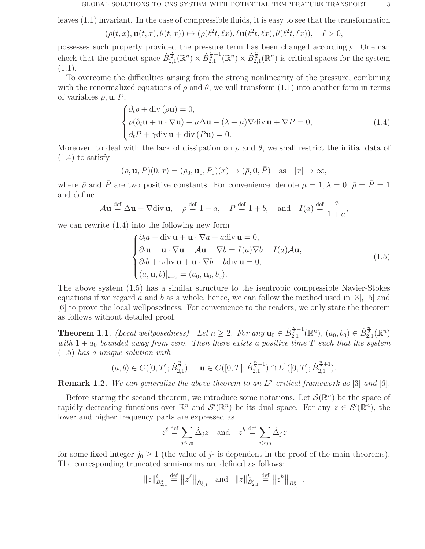leaves (1.1) invariant. In the case of compressible fluids, it is easy to see that the transformation

$$
(\rho(t,x), \mathbf{u}(t,x), \theta(t,x)) \mapsto (\rho(\ell^2 t, \ell x), \ell \mathbf{u}(\ell^2 t, \ell x), \theta(\ell^2 t, \ell x)), \quad \ell > 0,
$$

possesses such property provided the pressure term has been changed accordingly. One can check that the product space  $\dot{B}_{2,1}^{\frac{n}{2}}(\mathbb{R}^n) \times \dot{B}_{2,1}^{\frac{n}{2}-1}$  $\mathbb{E}_{2,1}^{\frac{n}{2}-1}(\mathbb{R}^n) \times \dot{B}_{2,1}^{\frac{n}{2}}(\mathbb{R}^n)$  is critical spaces for the system  $(1.1).$ 

To overcome the difficulties arising from the strong nonlinearity of the pressure, combining with the renormalized equations of  $\rho$  and  $\theta$ , we will transform (1.1) into another form in terms of variables  $\rho, \mathbf{u}, P$ ,

$$
\begin{cases} \partial_t \rho + \text{div}(\rho \mathbf{u}) = 0, \\ \rho(\partial_t \mathbf{u} + \mathbf{u} \cdot \nabla \mathbf{u}) - \mu \Delta \mathbf{u} - (\lambda + \mu) \nabla \text{div} \mathbf{u} + \nabla P = 0, \\ \partial_t P + \gamma \text{div} \mathbf{u} + \text{div} (P \mathbf{u}) = 0. \end{cases}
$$
(1.4)

Moreover, to deal with the lack of dissipation on  $\rho$  and  $\theta$ , we shall restrict the initial data of (1.4) to satisfy

$$
(\rho, \mathbf{u}, P)(0, x) = (\rho_0, \mathbf{u}_0, P_0)(x) \rightarrow (\bar{\rho}, \mathbf{0}, \bar{P}) \text{ as } |x| \rightarrow \infty,
$$

where  $\bar{\rho}$  and  $\bar{P}$  are two positive constants. For convenience, denote  $\mu = 1, \lambda = 0, \bar{\rho} = \bar{P} = 1$ and define

$$
\mathcal{A}\mathbf{u} \stackrel{\text{def}}{=} \Delta \mathbf{u} + \nabla \text{div} \,\mathbf{u}, \quad \rho \stackrel{\text{def}}{=} 1 + a, \quad P \stackrel{\text{def}}{=} 1 + b, \quad \text{and} \quad I(a) \stackrel{\text{def}}{=} \frac{a}{1 + a},
$$

we can rewrite (1.4) into the following new form

$$
\begin{cases} \partial_t a + \operatorname{div} \mathbf{u} + \mathbf{u} \cdot \nabla a + a \operatorname{div} \mathbf{u} = 0, \\ \partial_t \mathbf{u} + \mathbf{u} \cdot \nabla \mathbf{u} - A \mathbf{u} + \nabla b = I(a) \nabla b - I(a) A \mathbf{u}, \\ \partial_t b + \gamma \operatorname{div} \mathbf{u} + \mathbf{u} \cdot \nabla b + b \operatorname{div} \mathbf{u} = 0, \\ (a, \mathbf{u}, b)|_{t=0} = (a_0, \mathbf{u}_0, b_0). \end{cases}
$$
(1.5)

The above system (1.5) has a similar structure to the isentropic compressible Navier-Stokes equations if we regard a and b as a whole, hence, we can follow the method used in  $[3]$ ,  $[5]$  and [6] to prove the local wellposedness. For convenience to the readers, we only state the theorem as follows without detailed proof.

**Theorem 1.1.** (Local wellposedness) Let  $n \geq 2$ . For any  $\mathbf{u}_0 \in \dot{B}_{2,1}^{\frac{n}{2}-1}$  $\mathbb{E}_{2,1}^{\frac{n}{2}-1}(\mathbb{R}^n), (a_0, b_0) \in \dot{B}_{2,1}^{\frac{n}{2}}(\mathbb{R}^n)$ with  $1 + a_0$  bounded away from zero. Then there exists a positive time T such that the system (1.5) has a unique solution with

$$
(a, b) \in C([0, T]; \dot{B}_{2,1}^{\frac{n}{2}}), \quad \mathbf{u} \in C([0, T]; \dot{B}_{2,1}^{\frac{n}{2}-1}) \cap L^1([0, T]; \dot{B}_{2,1}^{\frac{n}{2}+1}).
$$

**Remark 1.2.** We can generalize the above theorem to an  $L^p$ -critical framework as [3] and [6].

Before stating the second theorem, we introduce some notations. Let  $\mathcal{S}(\mathbb{R}^n)$  be the space of rapidly decreasing functions over  $\mathbb{R}^n$  and  $\mathcal{S}'(\mathbb{R}^n)$  be its dual space. For any  $z \in \mathcal{S}'(\mathbb{R}^n)$ , the lower and higher frequency parts are expressed as

$$
z^{\ell} \stackrel{\text{def}}{=} \sum_{j \le j_0} \dot{\Delta}_j z \quad \text{and} \quad z^h \stackrel{\text{def}}{=} \sum_{j > j_0} \dot{\Delta}_j z
$$

for some fixed integer  $j_0 \geq 1$  (the value of  $j_0$  is dependent in the proof of the main theorems). The corresponding truncated semi-norms are defined as follows:

$$
||z||_{\dot{B}_{2,1}^s}^{\ell} \stackrel{\text{def}}{=} ||z^{\ell}||_{\dot{B}_{2,1}^s} \text{ and } ||z||_{\dot{B}_{2,1}^s}^{\ell} \stackrel{\text{def}}{=} ||z^h||_{\dot{B}_{2,1}^s}.
$$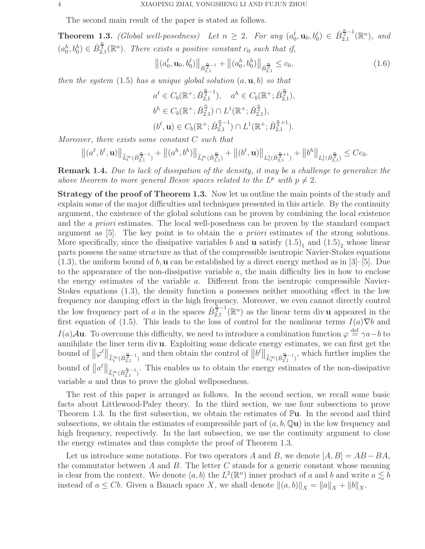The second main result of the paper is stated as follows.

**Theorem 1.3.** (Global well-posedness) Let  $n \geq 2$ . For any  $(a_0^{\ell}, \mathbf{u}_0, b_0^{\ell}) \in \dot{B}_{2,1}^{\frac{n}{2}-1}$  $a_{2,1}^{\frac{m}{2}-1}(\mathbb{R}^n)$ , and  $(a_0^h, b_0^h) \in \dot{B}_{2,1}^{\frac{n}{2}}(\mathbb{R}^n)$ . There exists a positive constant  $c_0$  such that if,

$$
\left\| (a_0^{\ell}, \mathbf{u}_0, b_0^{\ell}) \right\|_{\dot{B}_{2,1}^{\frac{n}{2}-1}} + \left\| (a_0^h, b_0^h) \right\|_{\dot{B}_{2,1}^{\frac{n}{2}}} \le c_0,
$$
\n(1.6)

then the system  $(1.5)$  has a unique global solution  $(a, \mathbf{u}, b)$  so that

$$
a^{\ell} \in C_b(\mathbb{R}^+; \dot{B}_{2,1}^{\frac{n}{2}-1}), \quad a^h \in C_b(\mathbb{R}^+; \dot{B}_{2,1}^{\frac{n}{2}}),
$$
  

$$
b^h \in C_b(\mathbb{R}^+; \dot{B}_{2,1}^{\frac{n}{2}}) \cap L^1(\mathbb{R}^+; \dot{B}_{2,1}^{\frac{n}{2}}),
$$
  

$$
(b^{\ell}, \mathbf{u}) \in C_b(\mathbb{R}^+; \dot{B}_{2,1}^{\frac{n}{2}-1}) \cap L^1(\mathbb{R}^+; \dot{B}_{2,1}^{\frac{n}{2}+1}).
$$

Moreover, there exists some constant C such that

$$
\left\|(a^\ell,b^\ell,\mathbf{u})\right\|_{\widetilde{L}^\infty_t(\dot{B}_{2,1}^{\frac{n}{2}-1})}+\left\|(a^h,b^h)\right\|_{\widetilde{L}^\infty_t(\dot{B}_{2,1}^{\frac{n}{2}})}+\left\|(b^\ell,\mathbf{u})\right\|_{L^1_t(\dot{B}_{2,1}^{\frac{n}{2}+1})}+\left\|b^h\right\|_{L^1_t(\dot{B}_{2,1}^{\frac{n}{2}})}\leq Cc_0.
$$

**Remark 1.4.** Due to lack of dissipation of the density, it may be a challenge to generalize the above theorem to more general Besov spaces related to the  $L^p$  with  $p \neq 2$ .

Strategy of the proof of Theorem 1.3. Now let us outline the main points of the study and explain some of the major difficulties and techniques presented in this article. By the continuity argument, the existence of the global solutions can be proven by combining the local existence and the a priori estimates. The local well-posedness can be proven by the standard compact argument as [5]. The key point is to obtain the a priori estimates of the strong solutions. More specifically, since the dissipative variables b and **u** satisfy  $(1.5)<sub>1</sub>$  and  $(1.5)<sub>2</sub>$  whose linear parts possess the same structure as that of the compressible isentropic Navier-Stokes equations  $(1.3)$ , the uniform bound of b, **u** can be established by a direct energy method as in [3]–[5]. Due to the appearance of the non-dissipative variable  $a$ , the main difficulty lies in how to enclose the energy estimates of the variable a. Different from the isentropic compressible Navier-Stokes equations (1.3), the density function a possesses neither smoothing effect in the low frequency nor damping effect in the high frequency. Moreover, we even cannot directly control the low frequency part of a in the spaces  $\dot{B}_{2,1}^{\frac{\hbar}{2}-1}(\mathbb{R}^n)$  as the linear term div u appeared in the first equation of (1.5). This leads to the loss of control for the nonlinear terms  $I(a)\nabla b$  and  $I(a)$ **Au**. To overcome this difficulty, we need to introduce a combination function  $\varphi \stackrel{\text{def}}{=} \gamma a - b$  to annihilate the liner term div u. Exploiting some delicate energy estimates, we can first get the bound of  $\|\varphi^{\ell}\|_{\widetilde{L}^{\infty}_{t}(\dot{B}^{\frac{n}{2}-1}_{2,1})}$  and then obtain the control of  $\|b^{\ell}\|_{\widetilde{L}^{\infty}_{t}(\dot{B}^{\frac{n}{2}-1}_{2,1})}$ , which further implies the bound of  $||a^{\ell}||_{\widetilde{L}^{\infty}_{t}(\dot{B}^{\frac{n}{2}-1}_{2,1})}$ . This enables us to obtain the energy estimates of the non-dissipative variable a and thus to prove the global wellposedness.

The rest of this paper is arranged as follows. In the second section, we recall some basic facts about Littlewood-Paley theory. In the third section, we use four subsections to prove Theorem 1.3. In the first subsection, we obtain the estimates of  $\mathbb{P}u$ . In the second and third subsections, we obtain the estimates of compressible part of  $(a, b, \mathbb{Q}u)$  in the low frequency and high frequency, respectively. In the last subsection, we use the continuity argument to close the energy estimates and thus complete the proof of Theorem 1.3.

Let us introduce some notations. For two operators A and B, we denote  $[A, B] = AB - BA$ , the commutator between A and B. The letter C stands for a generic constant whose meaning is clear from the context. We denote  $\langle a, b \rangle$  the  $L^2(\mathbb{R}^n)$  inner product of a and b and write  $a \lesssim b$ instead of  $a \leq Cb$ . Given a Banach space X, we shall denote  $\|(a, b)\|_X = \|a\|_X + \|b\|_X$ .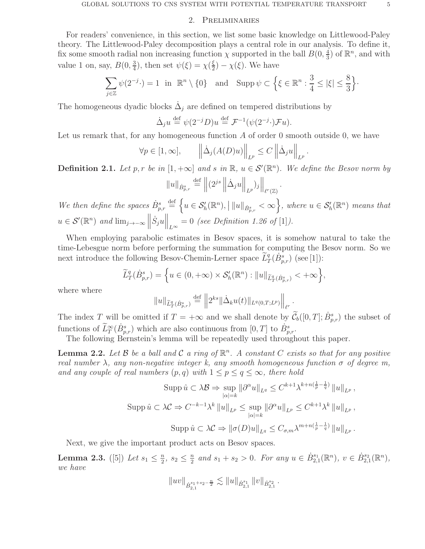### 2. Preliminaries

For readers' convenience, in this section, we list some basic knowledge on Littlewood-Paley theory. The Littlewood-Paley decomposition plays a central role in our analysis. To define it, fix some smooth radial non increasing function  $\chi$  supported in the ball  $B(0, \frac{4}{3})$  $(\frac{4}{3})$  of  $\mathbb{R}^n$ , and with value 1 on, say,  $B(0, \frac{3}{4})$  $\frac{3}{4}$ ), then set  $\psi(\xi) = \chi(\frac{\xi}{2})$  $(\frac{\xi}{2}) - \chi(\xi)$ . We have

$$
\sum_{j\in\mathbb{Z}} \psi(2^{-j}\cdot) = 1 \text{ in } \mathbb{R}^n \setminus \{0\} \text{ and } \text{Supp}\,\psi \subset \left\{\xi \in \mathbb{R}^n : \frac{3}{4} \leq |\xi| \leq \frac{8}{3}\right\}.
$$

The homogeneous dyadic blocks  $\dot{\Delta}_j$  are defined on tempered distributions by

$$
\dot{\Delta}_j u \stackrel{\text{def}}{=} \psi(2^{-j}D)u \stackrel{\text{def}}{=} \mathcal{F}^{-1}(\psi(2^{-j} \cdot)\mathcal{F}u).
$$

Let us remark that, for any homogeneous function  $A$  of order 0 smooth outside 0, we have

$$
\forall p \in [1, \infty], \qquad \left\| \dot{\Delta}_j(A(D)u) \right\|_{L^p} \le C \left\| \dot{\Delta}_j u \right\|_{L^p}
$$

**Definition 2.1.** Let p, r be in  $[1, +\infty]$  and s in  $\mathbb{R}$ ,  $u \in \mathcal{S}'(\mathbb{R}^n)$ . We define the Besov norm by

.

$$
||u||_{\dot{B}_{p,r}^s} \stackrel{\text{def}}{=} ||(2^{js} || \dot{\Delta}_j u ||_{L^p})_j||_{\ell^r(\mathbb{Z})}.
$$

We then define the spaces  $\dot{B}_{p,r}^s \stackrel{\text{def}}{=} \left\{ u \in \mathcal{S}'_h(\mathbb{R}^n), \left| ||u||_{\dot{B}_{p,r}^s} < \infty \right. \right\}$ , where  $u \in \mathcal{S}'_h(\mathbb{R}^n)$  means that  $u \in \mathcal{S}'(\mathbb{R}^n)$  and  $\lim_{j\to -\infty} \left\|\dot{S}_j u\right\|_{L^{\infty}} = 0$  (see Definition 1.26 of [1]).

When employing parabolic estimates in Besov spaces, it is somehow natural to take the time-Lebesgue norm before performing the summation for computing the Besov norm. So we next introduce the following Besov-Chemin-Lerner space  $\widetilde{L}^q_T(\dot{B}^s_{p,r})$  (see [1]):

$$
\widetilde{L}^q_T(\dot{B}^s_{p,r}) = \left\{ u \in (0,+\infty) \times \mathcal{S}'_h(\mathbb{R}^n) : ||u||_{\widetilde{L}^q_T(\dot{B}^s_{p,r})} < +\infty \right\},\,
$$

where where

$$
||u||_{\widetilde{L}^q_T(\dot{B}_{p,r}^s)} \stackrel{\text{def}}{=} ||2^{ks}||\dot{\Delta}_k u(t)||_{L^q(0,T;L^p)}||_{\ell^r}.
$$

The index T will be omitted if  $T = +\infty$  and we shall denote by  $\tilde{C}_b([0,T]; \dot{B}_{p,r}^s)$  the subset of functions of  $\widetilde{L}_T^{\infty}(\dot{B}_{p,r}^s)$  which are also continuous from  $[0,T]$  to  $\dot{B}_{p,r}^s$ .

The following Bernstein's lemma will be repeatedly used throughout this paper.

**Lemma 2.2.** Let B be a ball and C a ring of  $\mathbb{R}^n$ . A constant C exists so that for any positive real number  $\lambda$ , any non-negative integer k, any smooth homogeneous function  $\sigma$  of degree m, and any couple of real numbers  $(p, q)$  with  $1 \leq p \leq q \leq \infty$ , there hold

$$
\operatorname{Supp}\hat{u}\subset\lambda\mathcal{B}\Rightarrow\sup_{|\alpha|=k}\|\partial^{\alpha}u\|_{L^{q}}\leq C^{k+1}\lambda^{k+n(\frac{1}{p}-\frac{1}{q})}\|u\|_{L^{p}},
$$
  

$$
\operatorname{Supp}\hat{u}\subset\lambda\mathcal{C}\Rightarrow C^{-k-1}\lambda^{k}\|u\|_{L^{p}}\leq\sup_{|\alpha|=k}\|\partial^{\alpha}u\|_{L^{p}}\leq C^{k+1}\lambda^{k}\|u\|_{L^{p}},
$$
  

$$
\operatorname{Supp}\hat{u}\subset\lambda\mathcal{C}\Rightarrow\|\sigma(D)u\|_{L^{q}}\leq C_{\sigma,m}\lambda^{m+n(\frac{1}{p}-\frac{1}{q})}\|u\|_{L^{p}}.
$$

Next, we give the important product acts on Besov spaces.

**Lemma 2.3.** ([5]) Let  $s_1 \leq \frac{n}{2}$  $\frac{n}{2}, s_2 \leq \frac{n}{2}$  $\frac{n}{2}$  and  $s_1 + s_2 > 0$ . For any  $u \in \dot{B}_{2,1}^{s_1}$  $\mathcal{L}_{2,1}^{s_1}(\mathbb{R}^n), v \in \dot{B}_{2,1}^{s_2}$  $_{2,1}^{s_2}(\mathbb{R}^n)$ , we have

$$
||uv||_{\dot{B}_{2,1}^{s_1+s_2-\frac{n}{2}}}\lesssim ||u||_{\dot{B}_{2,1}^{s_1}}\,||v||_{\dot{B}_{2,1}^{s_2}}\,.
$$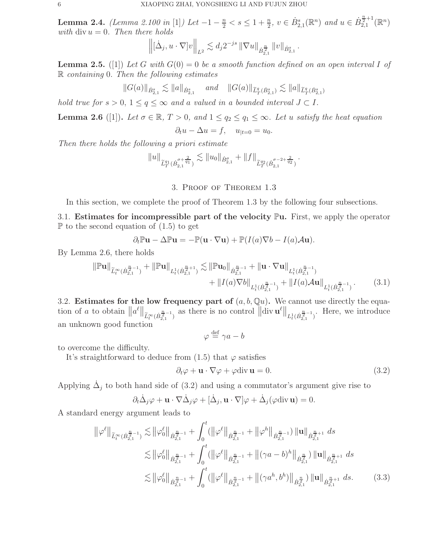Lemma 2.4. (Lemma 2.100 in [1]) Let  $-1 - \frac{n}{2} < s \leq 1 + \frac{n}{2}$ ,  $v \in \dot{B}_{2,1}^s(\mathbb{R}^n)$  and  $u \in \dot{B}_{2,1}^{\frac{n}{2}+1}(\mathbb{R}^n)$ with div  $u = 0$ . Then there holds

$$
\left\| [\dot{\Delta}_j, u \cdot \nabla] v \right\|_{L^2} \lesssim d_j 2^{-js} \, \|\nabla u\|_{\dot{B}_{2,1}^{\frac{n}{2}}} \, \|v\|_{\dot{B}_{2,1}^s} \, .
$$

**Lemma 2.5.** ([1]) Let G with  $G(0) = 0$  be a smooth function defined on an open interval I of R containing 0. Then the following estimates

$$
||G(a)||_{\dot{B}^s_{2,1}} \lesssim ||a||_{\dot{B}^s_{2,1}} \quad \text{and} \quad ||G(a)||_{\tilde{L}^q_T(\dot{B}^s_{2,1})} \lesssim ||a||_{\tilde{L}^q_T(\dot{B}^s_{2,1})}
$$

hold true for  $s > 0$ ,  $1 \le q \le \infty$  and a valued in a bounded interval  $J \subset I$ .

**Lemma 2.6** ([1]). Let  $\sigma \in \mathbb{R}$ ,  $T > 0$ , and  $1 \leq q_2 \leq q_1 \leq \infty$ . Let u satisfy the heat equation

$$
\partial_t u - \Delta u = f, \quad u_{|t=0} = u_0.
$$

Then there holds the following a priori estimate

$$
||u||_{\widetilde{L}_T^{q_1}(\dot{B}_{2,1}^{\sigma+\frac{2}{q_1}})} \lesssim ||u_0||_{\dot{B}_{2,1}^{\sigma}} + ||f||_{\widetilde{L}_T^{q_2}(\dot{B}_{2,1}^{\sigma-2+\frac{2}{q_2}})}.
$$

## 3. Proof of Theorem 1.3

In this section, we complete the proof of Theorem 1.3 by the following four subsections.

3.1. Estimates for incompressible part of the velocity  $\mathbb{P}u$ . First, we apply the operator  $\mathbb P$  to the second equation of  $(1.5)$  to get

$$
\partial_t \mathbb{P} \mathbf{u} - \Delta \mathbb{P} \mathbf{u} = -\mathbb{P}(\mathbf{u} \cdot \nabla \mathbf{u}) + \mathbb{P}(I(a)\nabla b - I(a)\mathcal{A}\mathbf{u}).
$$

By Lemma 2.6, there holds

$$
\|\mathbb{P} \mathbf{u}\|_{\widetilde{L}^{\infty}_{t}(\dot{B}_{2,1}^{\frac{n}{2}-1})} + \|\mathbb{P} \mathbf{u}\|_{L^{1}_{t}(\dot{B}_{2,1}^{\frac{n}{2}+1})} \lesssim \|\mathbb{P} \mathbf{u}_{0}\|_{\dot{B}_{2,1}^{\frac{n}{2}-1}} + \|\mathbf{u} \cdot \nabla \mathbf{u}\|_{L^{1}_{t}(\dot{B}_{2,1}^{\frac{n}{2}-1})} + \|I(a)\mathcal{A}\mathbf{u}\|_{L^{1}_{t}(\dot{B}_{2,1}^{\frac{n}{2}-1})}.
$$
 (3.1)

3.2. Estimates for the low frequency part of  $(a, b, Qu)$ . We cannot use directly the equation of a to obtain  $||a^{\ell}||_{\widetilde{L}^{\infty}_{t}(\dot{B}^{\frac{n}{2}-1}_{2,1})}$  $\frac{n}{2^{n-1}}$  as there is no control  $\left\|\text{div } {\bf u}^{\ell}\right\|_{L^1_t(\dot{B}_{2,1}^{\frac{n}{2}-1})}$  $\frac{n}{2},\frac{n}{2}$ . Here, we introduce an unknown good function

$$
\varphi \stackrel{\text{def}}{=} \gamma a - b
$$

to overcome the difficulty.

It's straightforward to deduce from  $(1.5)$  that  $\varphi$  satisfies

$$
\partial_t \varphi + \mathbf{u} \cdot \nabla \varphi + \varphi \text{div } \mathbf{u} = 0. \tag{3.2}
$$

Applying  $\dot{\Delta}_j$  to both hand side of (3.2) and using a commutator's argument give rise to

$$
\partial_t \dot{\Delta}_j \varphi + \mathbf{u} \cdot \nabla \dot{\Delta}_j \varphi + [\dot{\Delta}_j, \mathbf{u} \cdot \nabla] \varphi + \dot{\Delta}_j (\varphi \operatorname{div} \mathbf{u}) = 0.
$$

A standard energy argument leads to

$$
\|\varphi^{\ell}\|_{\widetilde{L}^{\infty}_{t}(\dot{B}_{2,1}^{\frac{n}{2}-1})} \lesssim \|\varphi^{\ell}_{0}\|_{\dot{B}_{2,1}^{\frac{n}{2}-1}} + \int_{0}^{t} (\|\varphi^{\ell}\|_{\dot{B}_{2,1}^{\frac{n}{2}-1}} + \|\varphi^{h}\|_{\dot{B}_{2,1}^{\frac{n}{2}-1}}) \|\mathbf{u}\|_{\dot{B}_{2,1}^{\frac{n}{2}+1}} ds
$$
  
\n
$$
\lesssim \|\varphi^{\ell}_{0}\|_{\dot{B}_{2,1}^{\frac{n}{2}-1}} + \int_{0}^{t} (\|\varphi^{\ell}\|_{\dot{B}_{2,1}^{\frac{n}{2}-1}} + \|(\gamma a - b)^{h}\|_{\dot{B}_{2,1}^{\frac{n}{2}}}) \|\mathbf{u}\|_{\dot{B}_{2,1}^{\frac{n}{2}+1}} ds
$$
  
\n
$$
\lesssim \|\varphi^{\ell}_{0}\|_{\dot{B}_{2,1}^{\frac{n}{2}-1}} + \int_{0}^{t} (\|\varphi^{\ell}\|_{\dot{B}_{2,1}^{\frac{n}{2}-1}} + \|(\gamma a^{h}, b^{h})\|_{\dot{B}_{2,1}^{\frac{n}{2}}}) \|\mathbf{u}\|_{\dot{B}_{2,1}^{\frac{n}{2}+1}} ds.
$$
\n(3.3)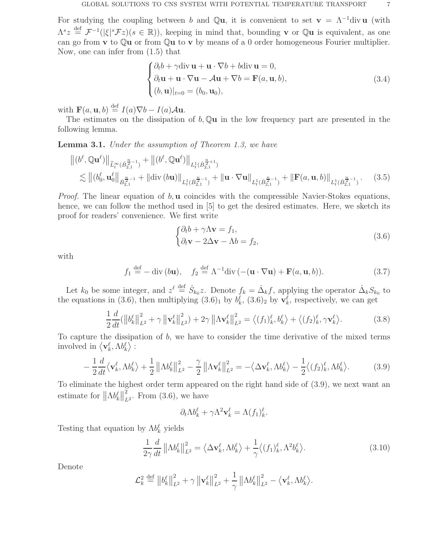For studying the coupling between b and Qu, it is convenient to set  $\mathbf{v} = \Lambda^{-1}$ div u (with  $\Lambda^s z \stackrel{\text{def}}{=} \mathcal{F}^{-1}(|\xi|^s \mathcal{F}z)(s \in \mathbb{R})$ , keeping in mind that, bounding **v** or Q**u** is equivalent, as one can go from  $\bf{v}$  to  $\bf{Qu}$  or from  $\bf{Qu}$  to  $\bf{v}$  by means of a 0 order homogeneous Fourier multiplier. Now, one can infer from (1.5) that

$$
\begin{cases} \partial_t b + \gamma \operatorname{div} \mathbf{u} + \mathbf{u} \cdot \nabla b + b \operatorname{div} \mathbf{u} = 0, \\ \partial_t \mathbf{u} + \mathbf{u} \cdot \nabla \mathbf{u} - A \mathbf{u} + \nabla b = \mathbf{F}(a, \mathbf{u}, b), \\ (b, \mathbf{u})|_{t=0} = (b_0, \mathbf{u}_0), \end{cases}
$$
(3.4)

with  $\mathbf{F}(a, \mathbf{u}, b) \stackrel{\text{def}}{=} I(a)\nabla b - I(a)\mathcal{A}\mathbf{u}.$ 

The estimates on the dissipation of  $b$ ,  $\mathbb{Q}u$  in the low frequency part are presented in the following lemma.

**Lemma 3.1.** Under the assumption of Theorem 1.3, we have

$$
\| (b^{\ell}, \mathbb{Q} \mathbf{u}^{\ell}) \|_{\widetilde{L}^{\infty}_{t}(\dot{B}_{2,1}^{\frac{n}{2}-1})} + \| (b^{\ell}, \mathbb{Q} \mathbf{u}^{\ell}) \|_{L^{1}_{t}(\dot{B}_{2,1}^{\frac{n}{2}+1})} \n\lesssim \| (b^{\ell}_{0}, \mathbf{u}^{\ell}_{0} \|_{\dot{B}_{2,1}^{\frac{n}{2}-1}} + \| \text{div} (b\mathbf{u}) \|_{L^{1}_{t}(\dot{B}_{2,1}^{\frac{n}{2}-1})} + \| \mathbf{u} \cdot \nabla \mathbf{u} \|_{L^{1}_{t}(\dot{B}_{2,1}^{\frac{n}{2}-1})} + \| \mathbf{F}(a, \mathbf{u}, b) \|_{L^{1}_{t}(\dot{B}_{2,1}^{\frac{n}{2}-1})}. \tag{3.5}
$$

*Proof.* The linear equation of  $b$ ,  $\bf{u}$  coincides with the compressible Navier-Stokes equations, hence, we can follow the method used in [5] to get the desired estimates. Here, we sketch its proof for readers' convenience. We first write

$$
\begin{cases} \partial_t b + \gamma \Lambda \mathbf{v} = f_1, \\ \partial_t \mathbf{v} - 2\Delta \mathbf{v} - \Lambda b = f_2, \end{cases}
$$
 (3.6)

with

$$
f_1 \stackrel{\text{def}}{=} -\text{div}(b\mathbf{u}), \quad f_2 \stackrel{\text{def}}{=} \Lambda^{-1} \text{div} \left( -(\mathbf{u} \cdot \nabla \mathbf{u}) + \mathbf{F}(a, \mathbf{u}, b) \right). \tag{3.7}
$$

Let  $k_0$  be some integer, and  $z^{\ell} \stackrel{\text{def}}{=} \dot{S}_{k_0} z$ . Denote  $f_k = \dot{\Delta}_k f$ , applying the operator  $\dot{\Delta}_k S_{k_0}$  to the equations in (3.6), then multiplying  $(3.6)_1$  by  $b_k^{\ell}$ ,  $(3.6)_2$  by  $\mathbf{v}_k^{\ell}$ , respectively, we can get

$$
\frac{1}{2}\frac{d}{dt}(\left\|b_k^{\ell}\right\|_{L^2}^2 + \gamma \left\|\mathbf{v}_k^{\ell}\right\|_{L^2}^2) + 2\gamma \left\|\Lambda \mathbf{v}_k^{\ell}\right\|_{L^2}^2 = \left\langle (f_1)_k^{\ell}, b_k^{\ell}\right\rangle + \left\langle (f_2)_k^{\ell}, \gamma \mathbf{v}_k^{\ell}\right\rangle. \tag{3.8}
$$

To capture the dissipation of  $b$ , we have to consider the time derivative of the mixed terms involved in  $\langle \mathbf{v}_k^{\ell}, \Lambda b_k^{\ell} \rangle$ :

$$
-\frac{1}{2}\frac{d}{dt}\langle \mathbf{v}_k^{\ell}, \Lambda b_k^{\ell} \rangle + \frac{1}{2} \left\| \Lambda b_k^{\ell} \right\|_{L^2}^2 - \frac{\gamma}{2} \left\| \Lambda \mathbf{v}_k^{\ell} \right\|_{L^2}^2 = -\langle \Delta \mathbf{v}_k^{\ell}, \Lambda b_k^{\ell} \rangle - \frac{1}{2} \langle (f_2)_k^{\ell}, \Lambda b_k^{\ell} \rangle. \tag{3.9}
$$

To eliminate the highest order term appeared on the right hand side of (3.9), we next want an estimate for  $\left\|\Lambda b_{k}^{\ell}\right\|_{L}^{2}$  $_{L^2}^2$ . From (3.6), we have

$$
\partial_t \Lambda b_k^{\ell} + \gamma \Lambda^2 \mathbf{v}_k^{\ell} = \Lambda (f_1)_k^{\ell}.
$$

Testing that equation by  $\Lambda b_k^{\ell}$  yields

$$
\frac{1}{2\gamma}\frac{d}{dt}\left\|\Lambda b_k^{\ell}\right\|_{L^2}^2 = \left\langle \Delta \mathbf{v}_k^{\ell}, \Lambda b_k^{\ell} \right\rangle + \frac{1}{\gamma} \left\langle (f_1)_k^{\ell}, \Lambda^2 b_k^{\ell} \right\rangle. \tag{3.10}
$$

Denote

$$
\mathcal{L}_k^2 \stackrel{\text{def}}{=} \left\| b_k^{\ell} \right\|_{L^2}^2 + \gamma \left\| \mathbf{v}_k^{\ell} \right\|_{L^2}^2 + \frac{1}{\gamma} \left\| \Lambda b_k^{\ell} \right\|_{L^2}^2 - \left\langle \mathbf{v}_k^{\ell}, \Lambda b_k^{\ell} \right\rangle.
$$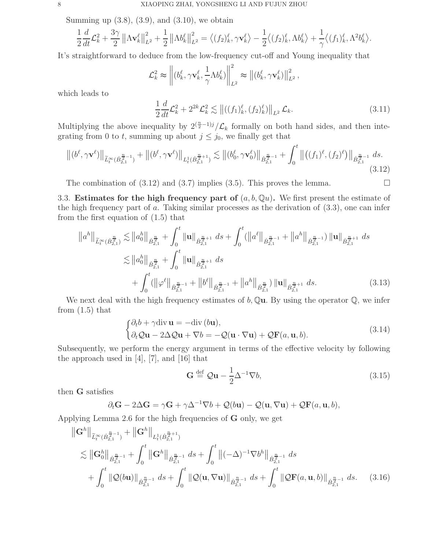Summing up  $(3.8)$ ,  $(3.9)$ , and  $(3.10)$ , we obtain

$$
\frac{1}{2}\frac{d}{dt}\mathcal{L}_k^2 + \frac{3\gamma}{2} \left\| \Lambda \mathbf{v}_k^{\ell} \right\|_{L^2}^2 + \frac{1}{2} \left\| \Lambda b_k^{\ell} \right\|_{L^2}^2 = \left\langle (f_2)_{k}^{\ell}, \gamma \mathbf{v}_k^{\ell} \right\rangle - \frac{1}{2} \left\langle (f_2)_{k}^{\ell}, \Lambda b_k^{\ell} \right\rangle + \frac{1}{\gamma} \left\langle (f_1)_{k}^{\ell}, \Lambda^2 b_k^{\ell} \right\rangle.
$$

It's straightforward to deduce from the low-frequency cut-off and Young inequality that

$$
\mathcal{L}_k^2 \approx \left\| (b_k^{\ell}, \gamma \mathbf{v}_k^{\ell}, \frac{1}{\gamma} \Lambda b_k^{\ell}) \right\|_{L^2}^2 \approx \left\| (b_k^{\ell}, \gamma \mathbf{v}_k^{\ell}) \right\|_{L^2}^2,
$$

which leads to

$$
\frac{1}{2}\frac{d}{dt}\mathcal{L}_k^2 + 2^{2k}\mathcal{L}_k^2 \lesssim ||((f_1)_k^\ell, (f_2)_k^\ell)||_{L^2}\mathcal{L}_k. \tag{3.11}
$$

Multiplying the above inequality by  $2^{\left(\frac{n}{2}-1\right)j}/\mathcal{L}_k$  formally on both hand sides, and then integrating from 0 to t, summing up about  $j \leq j_0$ , we finally get that

$$
\left\| (b^{\ell}, \gamma \mathbf{v}^{\ell}) \right\|_{\widetilde{L}^{\infty}_{t}(\dot{B}_{2,1}^{\frac{n}{2}-1})} + \left\| (b^{\ell}, \gamma \mathbf{v}^{\ell}) \right\|_{L^{1}_{t}(\dot{B}_{2,1}^{\frac{n}{2}+1})} \lesssim \left\| (b^{\ell}_{0}, \gamma \mathbf{v}^{\ell}_{0}) \right\|_{\dot{B}_{2,1}^{\frac{n}{2}-1}} + \int_{0}^{t} \left\| \left( (f_{1})^{\ell}, (f_{2})^{\ell} \right) \right\|_{\dot{B}_{2,1}^{\frac{n}{2}-1}} ds. \tag{3.12}
$$

The combination of  $(3.12)$  and  $(3.7)$  implies  $(3.5)$ . This proves the lemma.

3.3. Estimates for the high frequency part of  $(a, b, Qu)$ . We first present the estimate of the high frequency part of a. Taking similar processes as the derivation of  $(3.3)$ , one can infer from the first equation of (1.5) that

$$
\|a^{h}\|_{\widetilde{L}^{\infty}_{t}(\dot{B}_{2,1}^{\frac{n}{2}})} \lesssim \|a_{0}^{h}\|_{\dot{B}_{2,1}^{\frac{n}{2}}} + \int_{0}^{t} \|u\|_{\dot{B}_{2,1}^{\frac{n}{2}+1}} ds + \int_{0}^{t} (\|a^{\ell}\|_{\dot{B}_{2,1}^{\frac{n}{2}-1}} + \|a^{h}\|_{\dot{B}_{2,1}^{\frac{n}{2}-1}}) \|u\|_{\dot{B}_{2,1}^{\frac{n}{2}+1}} ds \lesssim \|a_{0}^{h}\|_{\dot{B}_{2,1}^{\frac{n}{2}}} + \int_{0}^{t} \|u\|_{\dot{B}_{2,1}^{\frac{n}{2}+1}} ds + \int_{0}^{t} (\|\varphi^{\ell}\|_{\dot{B}_{2,1}^{\frac{n}{2}-1}} + \|b^{\ell}\|_{\dot{B}_{2,1}^{\frac{n}{2}-1}} + \|a^{h}\|_{\dot{B}_{2,1}^{\frac{n}{2}}}) \|u\|_{\dot{B}_{2,1}^{\frac{n}{2}+1}} ds.
$$
\n(3.13)

We next deal with the high frequency estimates of  $b$ , Qu. By using the operator Q, we infer from  $(1.5)$  that

$$
\begin{cases} \partial_t b + \gamma \operatorname{div} \mathbf{u} = -\operatorname{div} (b\mathbf{u}), \\ \partial_t Q \mathbf{u} - 2\Delta Q \mathbf{u} + \nabla b = -Q(\mathbf{u} \cdot \nabla \mathbf{u}) + Q \mathbf{F}(a, \mathbf{u}, b). \end{cases} (3.14)
$$

Subsequently, we perform the energy argument in terms of the effective velocity by following the approach used in [4], [7], and [16] that

$$
\mathbf{G} \stackrel{\text{def}}{=} \mathcal{Q}\mathbf{u} - \frac{1}{2}\Delta^{-1}\nabla b,\tag{3.15}
$$

then G satisfies

$$
\partial_t \mathbf{G} - 2\Delta \mathbf{G} = \gamma \mathbf{G} + \gamma \Delta^{-1} \nabla b + \mathcal{Q}(b\mathbf{u}) - \mathcal{Q}(\mathbf{u}, \nabla \mathbf{u}) + \mathcal{Q} \mathbf{F}(a, \mathbf{u}, b),
$$

Applying Lemma 2.6 for the high frequencies of G only, we get

$$
\|\mathbf{G}^{h}\|_{\widetilde{L}_{t}^{\infty}(\dot{B}_{2,1}^{\frac{n}{2}-1})} + \|\mathbf{G}^{h}\|_{L_{t}^{1}(\dot{B}_{2,1}^{\frac{n}{2}+1})}
$$
\n
$$
\lesssim \|\mathbf{G}_{0}^{h}\|_{\dot{B}_{2,1}^{\frac{n}{2}-1}} + \int_{0}^{t} \|\mathbf{G}^{h}\|_{\dot{B}_{2,1}^{\frac{n}{2}-1}} ds + \int_{0}^{t} \|(-\Delta)^{-1}\nabla b^{h}\|_{\dot{B}_{2,1}^{\frac{n}{2}-1}} ds
$$
\n
$$
+ \int_{0}^{t} \|\mathcal{Q}(b\mathbf{u})\|_{\dot{B}_{2,1}^{\frac{n}{2}-1}} ds + \int_{0}^{t} \|\mathcal{Q}(\mathbf{u}, \nabla \mathbf{u})\|_{\dot{B}_{2,1}^{\frac{n}{2}-1}} ds + \int_{0}^{t} \|\mathcal{Q}\mathbf{F}(a, \mathbf{u}, b)\|_{\dot{B}_{2,1}^{\frac{n}{2}-1}} ds. \quad (3.16)
$$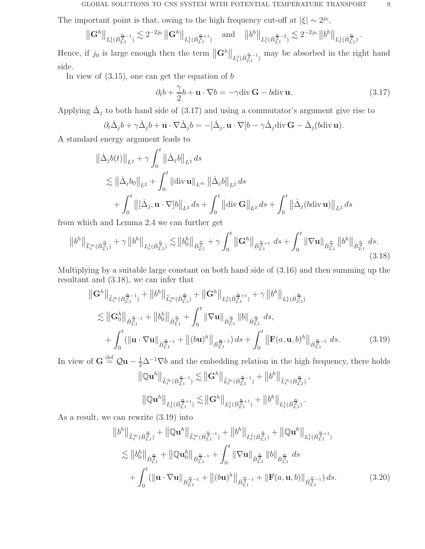The important point is that, owing to the high frequency cut-off at  $|\xi| \sim 2^{j_0}$ ,

$$
\left\| \mathbf{G}^h \right\|_{L^1_t(\dot{B}_{2,1}^{\frac{n}{2}-1})} \lesssim 2^{-2j_0} \left\| \mathbf{G}^h \right\|_{L^1_t(\dot{B}_{2,1}^{\frac{n}{2}+1})} \quad \text{and} \quad \left\| b^h \right\|_{L^1_t(\dot{B}_{2,1}^{\frac{n}{2}-2})} \lesssim 2^{-2j_0} \left\| b^h \right\|_{L^1_t(\dot{B}_{2,1}^{\frac{n}{2}})}.
$$

Hence, if  $j_0$  is large enough then the term  $\|\mathbf{G}^h\|_{L_t^1(B_{2,1}^{\frac{n}{2}-1})}$  may be absorbed in the right hand side.

In view of  $(3.15)$ , one can get the equation of b

$$
\partial_t b + \frac{\gamma}{2} b + \mathbf{u} \cdot \nabla b = -\gamma \operatorname{div} \mathbf{G} - b \operatorname{div} \mathbf{u}.
$$
 (3.17)

Applying  $\dot{\Delta}_j$  to both hand side of (3.17) and using a commutator's argument give rise to

$$
\partial_t \dot{\Delta}_j b + \gamma \dot{\Delta}_j b + \mathbf{u} \cdot \nabla \dot{\Delta}_j b = -[\dot{\Delta}_j, \mathbf{u} \cdot \nabla] b - \gamma \dot{\Delta}_j \operatorname{div} \mathbf{G} - \dot{\Delta}_j (b \operatorname{div} \mathbf{u}).
$$

A standard energy argument leads to

$$
\|\dot{\Delta}_j b(t)\|_{L^2} + \gamma \int_0^t \|\dot{\Delta}_j b\|_{L^2} ds
$$
  
\$\leq \|\dot{\Delta}\_j b\_0\|\_{L^2} + \int\_0^t \|\text{div}\,\mathbf{u}\|\_{L^\infty} \|\dot{\Delta}\_j b\|\_{L^2} ds\$  
\$+ \int\_0^t \|\text{[}\dot{\Delta}\_j, \mathbf{u} \cdot \nabla] b\|\_{L^2} ds + \int\_0^t \|\text{div}\,\mathbf{G}\|\_{L^2} ds + \int\_0^t \|\dot{\Delta}\_j (b \text{div}\,\mathbf{u})\|\_{L^2} ds\$

from which and Lemma 2.4 we can further get

$$
\left\|b^{h}\right\|_{\widetilde{L}^{\infty}_{t}(\dot{B}_{2,1}^{\frac{n}{2}})} + \gamma \left\|b^{h}\right\|_{L^{1}_{t}(\dot{B}_{2,1}^{\frac{n}{2}})} \lesssim \left\|b^{h}_{0}\right\|_{\dot{B}_{2,1}^{\frac{n}{2}}} + \gamma \int_{0}^{t} \left\|\mathbf{G}^{h}\right\|_{\dot{B}_{2,1}^{\frac{n}{2}+1}} ds + \int_{0}^{t} \left\|\nabla \mathbf{u}\right\|_{\dot{B}_{2,1}^{\frac{n}{2}}} \left\|b^{h}\right\|_{\dot{B}_{2,1}^{\frac{n}{2}}} ds. \tag{3.18}
$$

Multiplying by a suitable large constant on both hand side of (3.16) and then summing up the resultant and (3.18), we can infer that

$$
\|\mathbf{G}^{h}\|_{\widetilde{L}_{t}^{\infty}(\dot{B}_{2,1}^{\frac{n}{2}-1})} + \|b^{h}\|_{\widetilde{L}_{t}^{\infty}(\dot{B}_{2,1}^{\frac{n}{2}})} + \|\mathbf{G}^{h}\|_{L_{t}^{1}(\dot{B}_{2,1}^{\frac{n}{2}+1})} + \gamma \|b^{h}\|_{L_{t}^{1}(\dot{B}_{2,1}^{\frac{n}{2}})}
$$
  
\n
$$
\lesssim \|\mathbf{G}_{0}^{h}\|_{\dot{B}_{2,1}^{\frac{n}{2}-1}} + \|b_{0}^{h}\|_{\dot{B}_{2,1}^{\frac{n}{2}}} + \int_{0}^{t} \|\nabla \mathbf{u}\|_{\dot{B}_{2,1}^{\frac{n}{2}}} \|b\|_{\dot{B}_{2,1}^{\frac{n}{2}}} ds,
$$
  
\n
$$
+ \int_{0}^{t} (\|\mathbf{u} \cdot \nabla \mathbf{u}\|_{\dot{B}_{2,1}^{\frac{n}{2}-1}} + \|(\mathbf{b}\mathbf{u})^{h}\|_{\dot{B}_{2,1}^{\frac{n}{2}-1}}) ds + \int_{0}^{t} \|\mathbf{F}(a, \mathbf{u}, b)^{h}\|_{\dot{B}_{2,1}^{\frac{n}{2}-1}} ds.
$$
\n(3.19)

In view of  $G \stackrel{\text{def}}{=} Qu - \frac{1}{2}\Delta^{-1} \nabla b$  and the embedding relation in the high frequency, there holds  $\big\| \mathbb{Q} \mathbf{u}^h \big\|_{\widetilde{L}_t^\infty(\dot{B}_{2,1}^{\frac{n}{2}-1} }$  $\left\| \frac{n}{2^{-1}}\right\|_{\widetilde{L}^{\infty}_{t}(\dot{B}_{2,1}^{\frac{n}{2}-1})}$  $\frac{n}{2^{n-1}}$ <sub>1</sub> +  $||b^h||_{\widetilde{L}_t^{\infty}(\dot{B}_{2,1}^{\frac{n}{2}})}$ ,

$$
\left\|{\mathbb Q} {\mathbf u}^h\right\|_{L^1_t(\dot B^{p+1}_{2,1})}\lesssim \left\|{\mathbf G}^h\right\|_{L^1_t(\dot B^{p+1}_{2,1})}+\left\|b^h\right\|_{L^1_t(\dot B^{p}_{2,1})}.
$$

As a result, we can rewrite (3.19) into

$$
||b^{h}||_{\widetilde{L}_{t}^{\infty}(\dot{B}_{2,1}^{\frac{n}{2}})} + ||\mathbb{Q}u^{h}||_{\widetilde{L}_{t}^{\infty}(\dot{B}_{2,1}^{\frac{n}{2}-1})} + ||b^{h}||_{L_{t}^{1}(\dot{B}_{2,1}^{\frac{n}{2}})} + ||\mathbb{Q}u^{h}||_{L_{t}^{1}(\dot{B}_{2,1}^{\frac{n}{2}+1})}
$$
  
\n
$$
\lesssim ||b_{0}^{h}||_{\dot{B}_{2,1}^{\frac{n}{2}}} + ||\mathbb{Q}u_{0}^{h}||_{\dot{B}_{2,1}^{\frac{n}{2}-1}} + \int_{0}^{t} ||\nabla u||_{\dot{B}_{2,1}^{\frac{n}{2}}} ||b||_{\dot{B}_{2,1}^{\frac{n}{2}}} ds
$$
  
\n
$$
+ \int_{0}^{t} (||u \cdot \nabla u||_{\dot{B}_{2,1}^{\frac{n}{2}-1}} + ||(bu)^{h}||_{\dot{B}_{2,1}^{\frac{n}{2}-1}} + ||F(a,u,b)||_{\dot{B}_{2,1}^{\frac{n}{2}-1}}) ds.
$$
\n(3.20)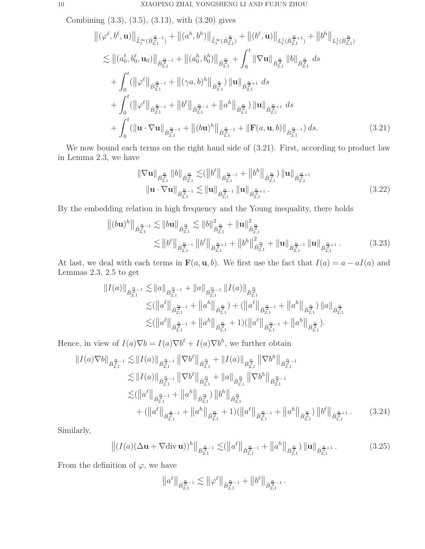Combining (3.3), (3.5), (3.13), with (3.20) gives

$$
\|(\varphi^{\ell},b^{\ell},\mathbf{u})\|_{\tilde{L}_{t}^{\infty}(\dot{B}_{2,1}^{\frac{n}{2}-1})} + \|(\boldsymbol{a}^{h},b^{h})\|_{\tilde{L}_{t}^{\infty}(\dot{B}_{2,1}^{\frac{n}{2}})} + \|(\boldsymbol{b}^{\ell},\mathbf{u})\|_{L_{t}^{1}(\dot{B}_{2,1}^{\frac{n}{2}+1})} + \|b^{h}\|_{L_{t}^{1}(\dot{B}_{2,1}^{\frac{n}{2}})}
$$
\n
$$
\lesssim \|(\boldsymbol{a}_{0}^{\ell},b_{0}^{\ell},\mathbf{u}_{0})\|_{\dot{B}_{2,1}^{\frac{n}{2}-1}} + \|(\boldsymbol{a}_{0}^{h},b_{0}^{h})\|_{\dot{B}_{2,1}^{\frac{n}{2}}} + \int_{0}^{t} \|\nabla\mathbf{u}\|_{\dot{B}_{2,1}^{\frac{n}{2}}} \|b\|_{\dot{B}_{2,1}^{\frac{n}{2}}} ds
$$
\n
$$
+ \int_{0}^{t} (\|\varphi^{\ell}\|_{\dot{B}_{2,1}^{\frac{n}{2}-1}} + \|(\gamma a,b)^{h}\|_{\dot{B}_{2,1}^{\frac{n}{2}}}) \|u\|_{\dot{B}_{2,1}^{\frac{n}{2}+1}} ds
$$
\n
$$
+ \int_{0}^{t} (\|\varphi^{\ell}\|_{\dot{B}_{2,1}^{\frac{n}{2}-1}} + \|b^{\ell}\|_{\dot{B}_{2,1}^{\frac{n}{2}-1}} + \|a^{h}\|_{\dot{B}_{2,1}^{\frac{n}{2}}}) \|u\|_{\dot{B}_{2,1}^{\frac{n}{2}+1}} ds
$$
\n
$$
+ \int_{0}^{t} (\|\mathbf{u} \cdot \nabla \mathbf{u}\|_{\dot{B}_{2,1}^{\frac{n}{2}-1}} + \|(\delta \mathbf{u})^{h}\|_{\dot{B}_{2,1}^{\frac{n}{2}-1}} + \|\mathbf{F}(a,\mathbf{u},b)\|_{\dot{B}_{2,1}^{\frac{n}{2}-1}}) ds.
$$
\n(3.21)

We now bound each terms on the right hand side of  $(3.21)$ . First, according to product law in Lemma 2.3, we have

$$
\|\nabla \mathbf{u}\|_{\dot{B}_{2,1}^{\frac{n}{2}}} \|b\|_{\dot{B}_{2,1}^{\frac{n}{2}}} \lesssim (\|b^{\ell}\|_{\dot{B}_{2,1}^{\frac{n}{2}-1}} + \|b^{h}\|_{\dot{B}_{2,1}^{\frac{n}{2}}}) \|\mathbf{u}\|_{\dot{B}_{2,1}^{\frac{n}{2}+1}} \|\mathbf{u} \cdot \nabla \mathbf{u}\|_{\dot{B}_{2,1}^{\frac{n}{2}-1}} \lesssim \|\mathbf{u}\|_{\dot{B}_{2,1}^{\frac{n}{2}-1}} \|\mathbf{u}\|_{\dot{B}_{2,1}^{\frac{n}{2}+1}}.
$$
\n(3.22)

By the embedding relation in high frequency and the Young inequality, there holds

$$
\| (b\mathbf{u})^h \|_{\dot{B}_{2,1}^{\frac{n}{2}-1}} \lesssim \| b\mathbf{u} \|_{\dot{B}_{2,1}^{\frac{n}{2}}} \lesssim \| b\|_{\dot{B}_{2,1}^{\frac{n}{2}}}^2 + \| \mathbf{u} \|^2_{\dot{B}_{2,1}^{\frac{n}{2}}} \lesssim \| b^{\ell} \|_{\dot{B}_{2,1}^{\frac{n}{2}-1}} \| b^{\ell} \|_{\dot{B}_{2,1}^{\frac{n}{2}+1}} + \| b^h \|_{\dot{B}_{2,1}^{\frac{n}{2}}}^2 + \| \mathbf{u} \|_{\dot{B}_{2,1}^{\frac{n}{2}-1}} \| \mathbf{u} \|_{\dot{B}_{2,1}^{\frac{n}{2}+1}}.
$$
\n(3.23)

At last, we deal with each terms in  $\mathbf{F}(a, \mathbf{u}, b)$ . We first use the fact that  $I(a) = a - aI(a)$  and Lemmas 2.3, 2.5 to get

$$
||I(a)||_{\dot{B}_{2,1}^{\frac{n}{2}-1}} \lesssim ||a||_{\dot{B}_{2,1}^{\frac{n}{2}-1}} + ||a||_{\dot{B}_{2,1}^{\frac{n}{2}-1}} ||I(a)||_{\dot{B}_{2,1}^{\frac{n}{2}}} \n\lesssim (||a^{\ell}||_{\dot{B}_{2,1}^{\frac{n}{2}-1}} + ||a^h||_{\dot{B}_{2,1}^{\frac{n}{2}}} ) + (||a^{\ell}||_{\dot{B}_{2,1}^{\frac{n}{2}-1}} + ||a^h||_{\dot{B}_{2,1}^{\frac{n}{2}}} ) ||a||_{\dot{B}_{2,1}^{\frac{n}{2}}} \n\lesssim (||a^{\ell}||_{\dot{B}_{2,1}^{\frac{n}{2}-1}} + ||a^h||_{\dot{B}_{2,1}^{\frac{n}{2}}} + 1) (||a^{\ell}||_{\dot{B}_{2,1}^{\frac{n}{2}-1}} + ||a^h||_{\dot{B}_{2,1}^{\frac{n}{2}}} ).
$$

Hence, in view of  $I(a)\nabla b = I(a)\nabla b^{\ell} + I(a)\nabla b^{h}$ , we further obtain

$$
||I(a)\nabla b||_{\dot{B}_{2,1}^{\frac{n}{2}-1}} \lesssim ||I(a)||_{\dot{B}_{2,1}^{\frac{n}{2}-1}} ||\nabla b^{\ell}||_{\dot{B}_{2,1}^{\frac{n}{2}}} + ||I(a)||_{\dot{B}_{2,1}^{\frac{n}{2}}} ||\nabla b^h||_{\dot{B}_{2,1}^{\frac{n}{2}-1}} \n\lesssim ||I(a)||_{\dot{B}_{2,1}^{\frac{n}{2}-1}} ||\nabla b^{\ell}||_{\dot{B}_{2,1}^{\frac{n}{2}}} + ||a||_{\dot{B}_{2,1}^{\frac{n}{2}}} ||\nabla b^h||_{\dot{B}_{2,1}^{\frac{n}{2}-1}} \n\lesssim (||a^{\ell}||_{\dot{B}_{2,1}^{\frac{n}{2}-1}} + ||a^h||_{\dot{B}_{2,1}^{\frac{n}{2}}} ) ||b^h||_{\dot{B}_{2,1}^{\frac{n}{2}}} + (||a^{\ell}||_{\dot{B}_{2,1}^{\frac{n}{2}-1}} + ||a^h||_{\dot{B}_{2,1}^{\frac{n}{2}}} + 1) (||a^{\ell}||_{\dot{B}_{2,1}^{\frac{n}{2}-1}} + ||a^h||_{\dot{B}_{2,1}^{\frac{n}{2}}} ) ||b^{\ell}||_{\dot{B}_{2,1}^{\frac{n}{2}+1}}.
$$
\n(3.24)

Similarly,

$$
\left\| (I(a)(\Delta \mathbf{u} + \nabla \operatorname{div} \mathbf{u}))^h \right\|_{\dot{B}_{2,1}^{\frac{n}{2}-1}} \lesssim (\left\| a^\ell \right\|_{\dot{B}_{2,1}^{\frac{n}{2}-1}} + \left\| a^h \right\|_{\dot{B}_{2,1}^{\frac{n}{2}}}) \left\| \mathbf{u} \right\|_{\dot{B}_{2,1}^{\frac{n}{2}+1}}.
$$
 (3.25)

From the definition of  $\varphi$ , we have

$$
\left\|a^{\ell}\right\|_{\dot{B}_{2,1}^{\frac{n}{2}-1}} \lesssim \left\|\varphi^{\ell}\right\|_{\dot{B}_{2,1}^{\frac{n}{2}-1}} + \left\|b^{\ell}\right\|_{\dot{B}_{2,1}^{\frac{n}{2}-1}}.
$$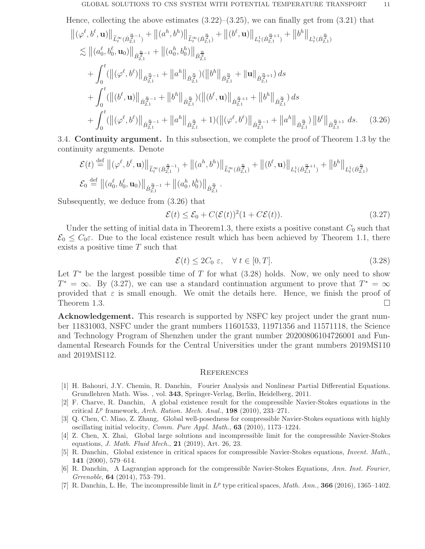Hence, collecting the above estimates  $(3.22)$ – $(3.25)$ , we can finally get from  $(3.21)$  that

$$
\begin{split}\n&\left\| (\varphi^{\ell}, b^{\ell}, \mathbf{u}) \right\|_{\widetilde{L}^{\infty}_{t}(\dot{B}^{\frac{n}{2}-1}_{2,1})} + \left\| (a^{h}, b^{h}) \right\|_{\widetilde{L}^{\infty}_{t}(\dot{B}^{\frac{n}{2}}_{2,1})} + \left\| (b^{\ell}, \mathbf{u}) \right\|_{L^{1}_{t}(\dot{B}^{\frac{n}{2}+1}_{2,1})} + \left\| b^{h} \right\|_{L^{1}_{t}(\dot{B}^{\frac{n}{2}}_{2,1})} \\
&\lesssim \left\| (a^{e}_{0}, b^{e}_{0}, \mathbf{u}_{0}) \right\|_{\dot{B}^{\frac{n}{2}-1}_{2,1}} + \left\| (a^{h}_{0}, b^{h}_{0}) \right\|_{\dot{B}^{\frac{n}{2}}_{2,1}} \\
&+ \int_{0}^{t} (\left\| (\varphi^{\ell}, b^{\ell}) \right\|_{\dot{B}^{\frac{n}{2}-1}_{2,1}} + \left\| a^{h} \right\|_{\dot{B}^{\frac{n}{2}}_{2,1}}) (\left\| b^{h} \right\|_{\dot{B}^{\frac{n}{2}}_{2,1}} + \left\| \mathbf{u} \right\|_{\dot{B}^{\frac{n}{2}+1}_{2,1}}) ds \\
&+ \int_{0}^{t} (\left\| (b^{\ell}, \mathbf{u}) \right\|_{\dot{B}^{\frac{n}{2}-1}_{2,1}} + \left\| b^{h} \right\|_{\dot{B}^{\frac{n}{2}}_{2,1}}) (\left\| (b^{\ell}, \mathbf{u}) \right\|_{\dot{B}^{\frac{n}{2}+1}_{2,1}} + \left\| b^{h} \right\|_{\dot{B}^{\frac{n}{2}}_{2,1}}) ds \\
&+ \int_{0}^{t} (\left\| (\varphi^{\ell}, b^{\ell}) \right\|_{\dot{B}^{\frac{n}{2}-1}_{2,1}} + \left\| a^{h} \right\|_{\dot{B}^{\frac{n}{2}}_{2,1}} + 1) (\left\| (\varphi^{\ell}, b^{\ell}) \right\|_{\dot{B}^{\frac{n}{2}-1}_{2,1}} + \left\| a^{h} \right\|_{\dot{B}^{\frac{n}{2}}_{2,1}}) \left
$$

3.4. Continuity argument. In this subsection, we complete the proof of Theorem 1.3 by the continuity arguments. Denote

$$
\mathcal{E}(t) \stackrel{\text{def}}{=} ||(\varphi^{\ell}, b^{\ell}, \mathbf{u})||_{\widetilde{L}^{\infty}_{t}(\dot{B}^{\frac{n}{2}-1}_{2,1})} + ||(a^{h}, b^{h})||_{\widetilde{L}^{\infty}_{t}(\dot{B}^{\frac{n}{2}}_{2,1})} + ||(b^{\ell}, \mathbf{u})||_{L^{1}_{t}(\dot{B}^{\frac{n}{2}+1}_{2,1})} + ||b^{h}||_{L^{1}_{t}(\dot{B}^{\frac{n}{2}}_{2,1})}
$$
  

$$
\mathcal{E}_{0} \stackrel{\text{def}}{=} ||(a_{0}^{\ell}, b_{0}^{\ell}, \mathbf{u}_{0})||_{\dot{B}^{\frac{n}{2}-1}_{2,1}} + ||(a_{0}^{h}, b_{0}^{h})||_{\dot{B}^{\frac{n}{2}}_{2,1}}.
$$

Subsequently, we deduce from (3.26) that

$$
\mathcal{E}(t) \le \mathcal{E}_0 + C(\mathcal{E}(t))^2 (1 + C\mathcal{E}(t)).
$$
\n(3.27)

Under the setting of initial data in Theorem1.3, there exists a positive constant  $C_0$  such that  $\mathcal{E}_0 \leq C_0 \varepsilon$ . Due to the local existence result which has been achieved by Theorem 1.1, there exists a positive time  $T$  such that

$$
\mathcal{E}(t) \le 2C_0 \varepsilon, \quad \forall \ t \in [0, T]. \tag{3.28}
$$

Let  $T^*$  be the largest possible time of  $T$  for what  $(3.28)$  holds. Now, we only need to show  $T^* = \infty$ . By (3.27), we can use a standard continuation argument to prove that  $T^* = \infty$ provided that  $\varepsilon$  is small enough. We omit the details here. Hence, we finish the proof of Theorem 1.3.  $\Box$ 

Acknowledgement. This research is supported by NSFC key project under the grant number 11831003, NSFC under the grant numbers 11601533, 11971356 and 11571118, the Science and Technology Program of Shenzhen under the grant number 20200806104726001 and Fundamental Research Founds for the Central Universities under the grant numbers 2019MS110 and 2019MS112.

#### **REFERENCES**

- [1] H. Bahouri, J.Y. Chemin, R. Danchin, Fourier Analysis and Nonlinear Partial Differential Equations. Grundlehren Math. Wiss. , vol. 343, Springer-Verlag, Berlin, Heidelberg, 2011.
- [2] F. Charve, R. Danchin, A global existence result for the compressible Navier-Stokes equations in the critical  $L^p$  framework, Arch. Ration. Mech. Anal., **198** (2010), 233-271.
- [3] Q. Chen, C. Miao, Z. Zhang, Global well-posedness for compressible Navier-Stokes equations with highly oscillating initial velocity, Comm. Pure Appl. Math.,  $63$  (2010), 1173-1224.
- [4] Z. Chen, X. Zhai, Global large solutions and incompressible limit for the compressible Navier-Stokes equations, J. Math. Fluid Mech., 21 (2019), Art. 26, 23.
- [5] R. Danchin, Global existence in critical spaces for compressible Navier-Stokes equations, Invent. Math., 141 (2000), 579–614.
- [6] R. Danchin, A Lagrangian approach for the compressible Navier-Stokes Equations, Ann. Inst. Fourier, Grrenoble, 64 (2014), 753–791.
- [7] R. Danchin, L. He, The incompressible limit in  $L^p$  type critical spaces, Math. Ann., **366** (2016), 1365–1402.